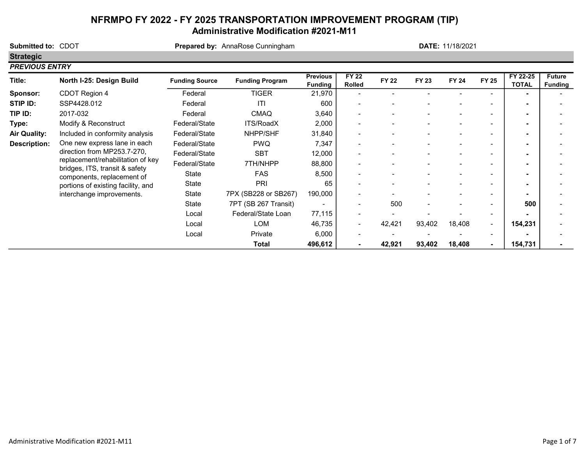# NFRMPO FY 2022 - FY 2025 TRANSPORTATION IMPROVEMENT PROGRAM (TIP)

Administrative Modification #2021-M11

| <b>Submitted to:</b>  | <b>CDOT</b>                                                         |                       | Prepared by: AnnaRose Cunningham |                                   |                        |              |                | DATE: 11/18/2021 |                          |                          |                                 |
|-----------------------|---------------------------------------------------------------------|-----------------------|----------------------------------|-----------------------------------|------------------------|--------------|----------------|------------------|--------------------------|--------------------------|---------------------------------|
| <b>Strategic</b>      |                                                                     |                       |                                  |                                   |                        |              |                |                  |                          |                          |                                 |
| <b>PREVIOUS ENTRY</b> |                                                                     |                       |                                  |                                   |                        |              |                |                  |                          |                          |                                 |
| Title:                | North I-25: Design Build                                            | <b>Funding Source</b> | <b>Funding Program</b>           | <b>Previous</b><br><b>Funding</b> | <b>FY 22</b><br>Rolled | <b>FY 22</b> | <b>FY 23</b>   | <b>FY 24</b>     | <b>FY 25</b>             | FY 22-25<br><b>TOTAL</b> | <b>Future</b><br><b>Funding</b> |
| Sponsor:              | CDOT Region 4                                                       | Federal               | <b>TIGER</b>                     | 21,970                            | $\blacksquare$         |              |                |                  |                          | ۰                        |                                 |
| STIP ID:              | SSP4428.012                                                         | Federal               | ITI                              | 600                               |                        |              |                |                  |                          |                          |                                 |
| TIP ID:               | 2017-032                                                            | Federal               | <b>CMAQ</b>                      | 3,640                             | $\blacksquare$         |              |                |                  |                          |                          |                                 |
| Type:                 | Modify & Reconstruct                                                | Federal/State         | ITS/RoadX                        | 2,000                             |                        |              | ۰              |                  |                          | $\overline{\phantom{a}}$ |                                 |
| <b>Air Quality:</b>   | Included in conformity analysis                                     | Federal/State         | NHPP/SHF                         | 31,840                            | $\blacksquare$         |              |                |                  |                          | ۰.                       |                                 |
| <b>Description:</b>   | One new express lane in each                                        | Federal/State         | <b>PWQ</b>                       | 7,347                             |                        |              |                |                  | $\overline{\phantom{a}}$ | $\blacksquare$           |                                 |
|                       | direction from MP253.7-270,                                         | Federal/State         | <b>SBT</b>                       | 12,000                            |                        |              |                |                  |                          | $\blacksquare$           |                                 |
|                       | replacement/rehabilitation of key<br>bridges, ITS, transit & safety | Federal/State         | 7TH/NHPP                         | 88,800                            |                        |              |                |                  |                          | ٠                        |                                 |
|                       | components, replacement of                                          | State                 | <b>FAS</b>                       | 8,500                             |                        |              |                |                  |                          | $\blacksquare$           |                                 |
|                       | portions of existing facility, and                                  | State                 | <b>PRI</b>                       | 65                                |                        |              |                |                  |                          | ۰                        |                                 |
|                       | interchange improvements.                                           | State                 | 7PX (SB228 or SB267)             | 190,000                           |                        |              |                |                  |                          |                          |                                 |
|                       |                                                                     | State                 | 7PT (SB 267 Transit)             | $\blacksquare$                    |                        | 500          | $\blacksquare$ |                  |                          | 500                      |                                 |
|                       |                                                                     | Local                 | Federal/State Loan               | 77,115                            |                        |              |                |                  | ۰                        |                          |                                 |
|                       |                                                                     | Local                 | LOM                              | 46,735                            | ۰.                     | 42,421       | 93,402         | 18,408           | $\overline{\phantom{a}}$ | 154,231                  |                                 |
|                       |                                                                     | Local                 | Private                          | 6,000                             | $\blacksquare$         |              |                |                  | $\blacksquare$           |                          |                                 |
|                       |                                                                     |                       | Total                            | 496,612                           | $\blacksquare$         | 42,921       | 93,402         | 18,408           | $\blacksquare$           | 154,731                  |                                 |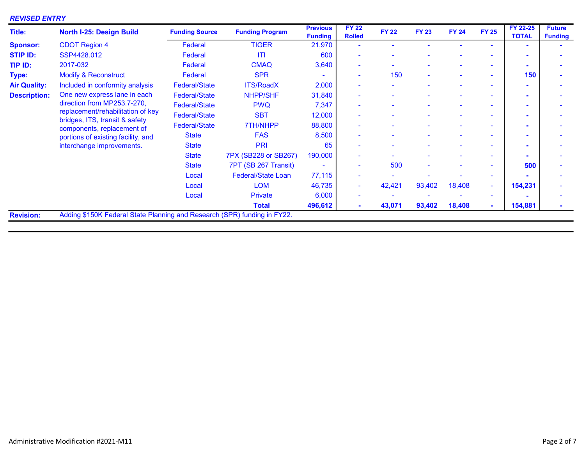#### REVISED ENTRY

| Title:              | <b>North I-25: Design Build</b>                                          | <b>Funding Source</b> | <b>Funding Program</b>    | <b>Previous</b><br><b>Funding</b> | <b>FY 22</b><br><b>Rolled</b> | <b>FY 22</b> | <b>FY 23</b>   | <b>FY 24</b> | <b>FY 25</b> | FY 22-25<br><b>TOTAL</b>                          | <b>Future</b><br><b>Funding</b> |
|---------------------|--------------------------------------------------------------------------|-----------------------|---------------------------|-----------------------------------|-------------------------------|--------------|----------------|--------------|--------------|---------------------------------------------------|---------------------------------|
| <b>Sponsor:</b>     | <b>CDOT Region 4</b>                                                     | Federal               | <b>TIGER</b>              | 21,970                            |                               |              |                |              |              |                                                   |                                 |
| <b>STIP ID:</b>     | SSP4428.012                                                              | Federal               | <b>ITI</b>                | 600                               |                               |              |                |              |              | $\blacksquare$                                    |                                 |
| TIP ID:             | 2017-032                                                                 | Federal               | <b>CMAQ</b>               | 3,640                             |                               |              |                |              |              |                                                   |                                 |
| Type:               | <b>Modify &amp; Reconstruct</b>                                          | Federal               | <b>SPR</b>                |                                   | ٠                             | 150          | $\blacksquare$ |              | ۰.           | 150                                               |                                 |
| <b>Air Quality:</b> | Included in conformity analysis                                          | <b>Federal/State</b>  | <b>ITS/RoadX</b>          | 2,000                             | $\blacksquare$                |              |                |              |              | $\blacksquare$                                    |                                 |
| <b>Description:</b> | One new express lane in each                                             | <b>Federal/State</b>  | <b>NHPP/SHF</b>           | 31,840                            | ٠                             |              |                |              |              | ۰                                                 |                                 |
|                     | direction from MP253.7-270,                                              | <b>Federal/State</b>  | <b>PWQ</b>                | 7,347                             |                               |              |                |              |              | $\blacksquare$                                    |                                 |
|                     | replacement/rehabilitation of key                                        | <b>Federal/State</b>  | <b>SBT</b>                | 12,000                            |                               |              |                |              |              | $\blacksquare$<br>۰<br>$\blacksquare$<br>٠<br>500 |                                 |
|                     | bridges, ITS, transit & safety<br>components, replacement of             | <b>Federal/State</b>  | 7TH/NHPP                  | 88,800                            |                               |              |                |              | -            |                                                   |                                 |
|                     | portions of existing facility, and                                       | <b>State</b>          | <b>FAS</b>                | 8,500                             | $\blacksquare$                |              |                |              |              |                                                   |                                 |
|                     | interchange improvements.                                                | <b>State</b>          | <b>PRI</b>                | 65                                |                               |              |                |              |              |                                                   |                                 |
|                     |                                                                          | <b>State</b>          | 7PX (SB228 or SB267)      | 190,000                           |                               |              |                |              |              |                                                   |                                 |
|                     |                                                                          | <b>State</b>          | 7PT (SB 267 Transit)      |                                   |                               | 500          |                |              |              |                                                   |                                 |
|                     |                                                                          | Local                 | <b>Federal/State Loan</b> | 77,115                            |                               |              |                |              | ۰            |                                                   |                                 |
|                     |                                                                          | Local                 | <b>LOM</b>                | 46,735                            | $\sim$                        | 42,421       | 93,402         | 18,408       | $\sim$       | 154,231                                           |                                 |
|                     |                                                                          | Local                 | <b>Private</b>            | 6,000                             | $\mathbf{r}$                  |              |                |              |              |                                                   |                                 |
|                     |                                                                          |                       | <b>Total</b>              | 496,612                           | $\sim$                        | 43,071       | 93,402         | 18,408       | $\sim$       | 154,881                                           |                                 |
| <b>Revision:</b>    | Adding \$150K Federal State Planning and Research (SPR) funding in FY22. |                       |                           |                                   |                               |              |                |              |              |                                                   |                                 |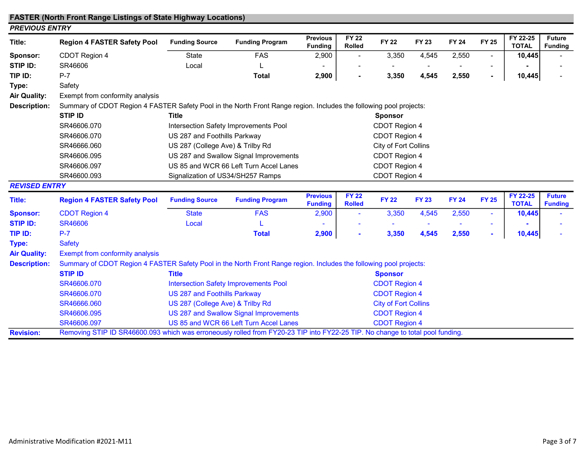## FASTER (North Front Range Listings of State Highway Locations)

| Title:               | <b>Region 4 FASTER Safety Pool</b>                                                                                            | <b>Funding Source</b>             | <b>Funding Program</b>                       | <b>Previous</b><br><b>Funding</b> | <b>FY 22</b><br><b>Rolled</b> | <b>FY 22</b>                | FY 23        | <b>FY 24</b> | <b>FY 25</b>             | FY 22-25<br><b>TOTAL</b> | <b>Future</b><br><b>Funding</b> |
|----------------------|-------------------------------------------------------------------------------------------------------------------------------|-----------------------------------|----------------------------------------------|-----------------------------------|-------------------------------|-----------------------------|--------------|--------------|--------------------------|--------------------------|---------------------------------|
| Sponsor:             | CDOT Region 4                                                                                                                 | State                             | <b>FAS</b>                                   | 2,900                             | $\blacksquare$                | 3,350                       | 4,545        | 2,550        | $\blacksquare$           | 10,445                   |                                 |
| <b>STIP ID:</b>      | SR46606                                                                                                                       | Local                             |                                              |                                   |                               |                             |              |              | $\sim$                   |                          |                                 |
| TIP ID:              | $P-7$                                                                                                                         |                                   | <b>Total</b>                                 | 2,900                             |                               | 3,350                       | 4,545        | 2,550        | $\blacksquare$           | 10,445                   |                                 |
| Type:                | Safety                                                                                                                        |                                   |                                              |                                   |                               |                             |              |              |                          |                          |                                 |
| <b>Air Quality:</b>  | Exempt from conformity analysis                                                                                               |                                   |                                              |                                   |                               |                             |              |              |                          |                          |                                 |
| <b>Description:</b>  | Summary of CDOT Region 4 FASTER Safety Pool in the North Front Range region. Includes the following pool projects:            |                                   |                                              |                                   |                               |                             |              |              |                          |                          |                                 |
|                      | STIP ID                                                                                                                       | <b>Title</b>                      |                                              |                                   |                               | <b>Sponsor</b>              |              |              |                          |                          |                                 |
|                      | SR46606.070                                                                                                                   |                                   | Intersection Safety Improvements Pool        |                                   |                               | CDOT Region 4               |              |              |                          |                          |                                 |
|                      | SR46606.070                                                                                                                   | US 287 and Foothills Parkway      |                                              |                                   |                               | CDOT Region 4               |              |              |                          |                          |                                 |
|                      | SR46666.060                                                                                                                   | US 287 (College Ave) & Trilby Rd  |                                              |                                   |                               | City of Fort Collins        |              |              |                          |                          |                                 |
|                      | SR46606.095                                                                                                                   |                                   | US 287 and Swallow Signal Improvements       |                                   |                               | CDOT Region 4               |              |              |                          |                          |                                 |
|                      | SR46606.097                                                                                                                   |                                   | US 85 and WCR 66 Left Turn Accel Lanes       |                                   | CDOT Region 4                 |                             |              |              |                          |                          |                                 |
| <b>REVISED ENTRY</b> | SR46600.093                                                                                                                   | Signalization of US34/SH257 Ramps |                                              |                                   |                               | CDOT Region 4               |              |              |                          |                          |                                 |
|                      |                                                                                                                               |                                   |                                              |                                   |                               |                             |              |              |                          |                          |                                 |
| Title:               | <b>Region 4 FASTER Safety Pool</b>                                                                                            | <b>Funding Source</b>             | <b>Funding Program</b>                       | <b>Previous</b><br><b>Funding</b> | <b>FY 22</b><br><b>Rolled</b> | <b>FY 22</b>                | <b>FY 23</b> | <b>FY 24</b> | <b>FY 25</b>             | FY 22-25<br><b>TOTAL</b> | <b>Future</b><br><b>Funding</b> |
| <b>Sponsor:</b>      | <b>CDOT Region 4</b>                                                                                                          | <b>State</b>                      | <b>FAS</b>                                   | 2,900                             | $\blacksquare$                | 3,350                       | 4,545        | 2,550        | $\sim$                   | 10,445                   |                                 |
| <b>STIP ID:</b>      | <b>SR46606</b>                                                                                                                | Local                             |                                              |                                   |                               |                             |              |              | $\overline{\phantom{a}}$ |                          |                                 |
| TIP ID:              | $P-7$                                                                                                                         |                                   | <b>Total</b>                                 | 2,900                             |                               | 3,350                       | 4,545        | 2,550        | $\sim$                   | 10,445                   |                                 |
| Type:                | <b>Safety</b>                                                                                                                 |                                   |                                              |                                   |                               |                             |              |              |                          |                          |                                 |
| <b>Air Quality:</b>  | Exempt from conformity analysis                                                                                               |                                   |                                              |                                   |                               |                             |              |              |                          |                          |                                 |
| <b>Description:</b>  | Summary of CDOT Region 4 FASTER Safety Pool in the North Front Range region. Includes the following pool projects:            |                                   |                                              |                                   |                               |                             |              |              |                          |                          |                                 |
|                      | <b>STIP ID</b>                                                                                                                | <b>Title</b>                      |                                              |                                   |                               | <b>Sponsor</b>              |              |              |                          |                          |                                 |
|                      | SR46606.070                                                                                                                   |                                   | <b>Intersection Safety Improvements Pool</b> |                                   |                               | <b>CDOT Region 4</b>        |              |              |                          |                          |                                 |
|                      | SR46606.070                                                                                                                   | US 287 and Foothills Parkway      |                                              |                                   |                               | <b>CDOT Region 4</b>        |              |              |                          |                          |                                 |
|                      | SR46666.060                                                                                                                   | US 287 (College Ave) & Trilby Rd  |                                              |                                   |                               | <b>City of Fort Collins</b> |              |              |                          |                          |                                 |
|                      | SR46606.095                                                                                                                   |                                   | US 287 and Swallow Signal Improvements       |                                   |                               | <b>CDOT Region 4</b>        |              |              |                          |                          |                                 |
|                      | SR46606.097                                                                                                                   |                                   | US 85 and WCR 66 Left Turn Accel Lanes       |                                   |                               | <b>CDOT Region 4</b>        |              |              |                          |                          |                                 |
| <b>Revision:</b>     | Removing STIP ID SR46600.093 which was erroneously rolled from FY20-23 TIP into FY22-25 TIP. No change to total pool funding. |                                   |                                              |                                   |                               |                             |              |              |                          |                          |                                 |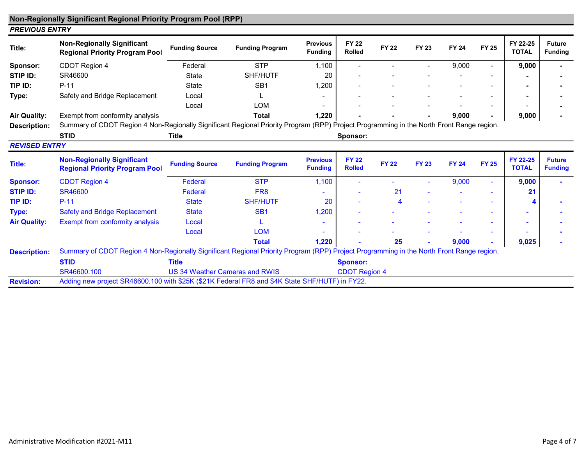|                       | <b>Non-Regionally Significant Regional Priority Program Pool (RPP)</b>                                                                   |                                |                        |                                   |                               |              |              |              |              |                          |                                 |
|-----------------------|------------------------------------------------------------------------------------------------------------------------------------------|--------------------------------|------------------------|-----------------------------------|-------------------------------|--------------|--------------|--------------|--------------|--------------------------|---------------------------------|
| <b>PREVIOUS ENTRY</b> |                                                                                                                                          |                                |                        |                                   |                               |              |              |              |              |                          |                                 |
| Title:                | <b>Non-Regionally Significant</b><br><b>Regional Priority Program Pool</b>                                                               | <b>Funding Source</b>          | <b>Funding Program</b> | <b>Previous</b><br><b>Funding</b> | <b>FY 22</b><br><b>Rolled</b> | <b>FY 22</b> | <b>FY 23</b> | <b>FY 24</b> | <b>FY 25</b> | FY 22-25<br><b>TOTAL</b> | <b>Future</b><br><b>Funding</b> |
| Sponsor:              | CDOT Region 4                                                                                                                            | Federal                        | <b>STP</b>             | 1,100                             | $\blacksquare$                |              |              | 9,000        |              | 9,000                    |                                 |
| STIP ID:              | SR46600                                                                                                                                  | State                          | SHF/HUTF               | 20                                |                               |              |              |              |              |                          |                                 |
| TIP ID:               | $P-11$                                                                                                                                   | <b>State</b>                   | SB <sub>1</sub>        | 1,200                             |                               |              |              |              |              |                          |                                 |
| Type:                 | Safety and Bridge Replacement                                                                                                            | Local                          |                        |                                   |                               |              |              |              |              |                          |                                 |
|                       |                                                                                                                                          | Local                          | LOM                    |                                   |                               |              |              |              |              |                          |                                 |
| <b>Air Quality:</b>   | Exempt from conformity analysis                                                                                                          |                                | <b>Total</b>           | 1,220                             |                               |              |              | 9,000        |              | 9,000                    |                                 |
| <b>Description:</b>   | Summary of CDOT Region 4 Non-Regionally Significant Regional Priority Program (RPP) Project Programming in the North Front Range region. |                                |                        |                                   |                               |              |              |              |              |                          |                                 |
|                       | <b>STID</b>                                                                                                                              | <b>Title</b>                   |                        |                                   | Sponsor:                      |              |              |              |              |                          |                                 |
| <b>REVISED ENTRY</b>  |                                                                                                                                          |                                |                        |                                   |                               |              |              |              |              |                          |                                 |
| <b>Title:</b>         | <b>Non-Regionally Significant</b><br><b>Regional Priority Program Pool</b>                                                               | <b>Funding Source</b>          | <b>Funding Program</b> | <b>Previous</b><br><b>Funding</b> | <b>FY 22</b><br><b>Rolled</b> | <b>FY 22</b> | <b>FY 23</b> | <b>FY 24</b> | <b>FY 25</b> | FY 22-25<br><b>TOTAL</b> | <b>Future</b><br><b>Funding</b> |
| <b>Sponsor:</b>       | <b>CDOT Region 4</b>                                                                                                                     | Federal                        | <b>STP</b>             | 1,100                             |                               |              |              | 9,000        |              | 9,000                    |                                 |
| <b>STIP ID:</b>       | <b>SR46600</b>                                                                                                                           | Federal                        | FR <sub>8</sub>        |                                   |                               | 21           |              |              |              | 21                       |                                 |
| TIP ID:               | $P-11$                                                                                                                                   | <b>State</b>                   | <b>SHF/HUTF</b>        | 20                                |                               | 4            |              |              |              |                          |                                 |
| Type:                 | <b>Safety and Bridge Replacement</b>                                                                                                     | <b>State</b>                   | SB <sub>1</sub>        | 1,200                             |                               |              |              |              |              | $\blacksquare$           |                                 |
| <b>Air Quality:</b>   | <b>Exempt from conformity analysis</b>                                                                                                   | Local                          |                        |                                   |                               |              |              |              |              |                          |                                 |
|                       |                                                                                                                                          | Local                          | <b>LOM</b>             |                                   |                               |              |              |              |              |                          |                                 |
|                       |                                                                                                                                          |                                | <b>Total</b>           | 1,220                             |                               | 25           |              | 9,000        |              | 9,025                    |                                 |
| <b>Description:</b>   | Summary of CDOT Region 4 Non-Regionally Significant Regional Priority Program (RPP) Project Programming in the North Front Range region. |                                |                        |                                   |                               |              |              |              |              |                          |                                 |
|                       | <b>STID</b>                                                                                                                              | <b>Title</b>                   |                        |                                   | <b>Sponsor:</b>               |              |              |              |              |                          |                                 |
|                       | SR46600.100                                                                                                                              | US 34 Weather Cameras and RWIS |                        |                                   | <b>CDOT Region 4</b>          |              |              |              |              |                          |                                 |
| <b>Revision:</b>      | Adding new project SR46600.100 with \$25K (\$21K Federal FR8 and \$4K State SHF/HUTF) in FY22.                                           |                                |                        |                                   |                               |              |              |              |              |                          |                                 |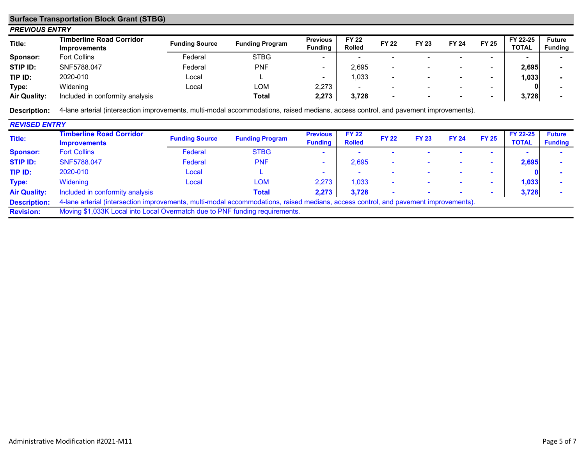## Surface Transportation Block Grant (STBG)

| <b>PREVIOUS ENTRY</b> |                                                        |                       |                        |                                   |                               |              |                          |                          |                          |                          |                                 |
|-----------------------|--------------------------------------------------------|-----------------------|------------------------|-----------------------------------|-------------------------------|--------------|--------------------------|--------------------------|--------------------------|--------------------------|---------------------------------|
| Title:                | <b>Timberline Road Corridor</b><br><b>Improvements</b> | <b>Funding Source</b> | <b>Funding Program</b> | <b>Previous</b><br><b>Funding</b> | <b>FY 22</b><br><b>Rolled</b> | <b>FY 22</b> | FY 23                    | <b>FY 24</b>             | <b>FY 25</b>             | FY 22-25<br><b>TOTAL</b> | <b>Future</b><br><b>Funding</b> |
| Sponsor:              | <b>Fort Collins</b>                                    | Federal               | <b>STBG</b>            | $\overline{\phantom{0}}$          |                               |              | $\sim$                   |                          | $\overline{\phantom{0}}$ |                          |                                 |
| STIP ID:              | SNF5788.047                                            | Federal               | <b>PNF</b>             | -                                 | 2,695                         |              | $\,$                     | $\overline{\phantom{a}}$ | -                        | 2,695                    |                                 |
| TIP ID:               | 2020-010                                               | Local                 |                        | $\overline{\phantom{0}}$          | ,033                          |              | $\overline{\phantom{0}}$ | $\overline{\phantom{0}}$ | -                        | 1,033                    |                                 |
| Type:                 | Widening                                               | Local                 | ∟OM                    | 2,273                             | $\sim$                        |              | $\overline{\phantom{0}}$ | $\overline{\phantom{0}}$ | -                        | 0                        |                                 |
| <b>Air Quality:</b>   | Included in conformity analysis                        |                       | <b>Total</b>           | 2,273                             | 3,728                         |              | $\overline{\phantom{a}}$ |                          |                          | 3,728                    |                                 |

Description: 4-lane arterial (intersection improvements, multi-modal accommodations, raised medians, access control, and pavement improvements).

| <b>REVISED ENTRY</b> |                                                                                                                                     |                       |                        |                                   |                               |              |              |              |              |                          |                                 |
|----------------------|-------------------------------------------------------------------------------------------------------------------------------------|-----------------------|------------------------|-----------------------------------|-------------------------------|--------------|--------------|--------------|--------------|--------------------------|---------------------------------|
| Title:               | <b>Timberline Road Corridor</b><br><b>Improvements</b>                                                                              | <b>Funding Source</b> | <b>Funding Program</b> | <b>Previous</b><br><b>Funding</b> | <b>FY 22</b><br><b>Rolled</b> | <b>FY 22</b> | <b>FY 23</b> | <b>FY 24</b> | <b>FY 25</b> | FY 22-25<br><b>TOTAL</b> | <b>Future</b><br><b>Funding</b> |
| <b>Sponsor:</b>      | <b>Fort Collins</b>                                                                                                                 | Federal               | <b>STBG</b>            | $\overline{\phantom{a}}$          |                               |              |              |              |              |                          |                                 |
| <b>STIP ID:</b>      | SNF5788.047                                                                                                                         | Federal               | <b>PNF</b>             |                                   | 2.695                         |              |              |              |              | 2.695                    |                                 |
| TIP ID:              | 2020-010                                                                                                                            | Local                 |                        | -                                 | . .                           |              |              |              |              |                          |                                 |
| Type:                | Widening                                                                                                                            | Local                 | <b>LOM</b>             | 2.273                             | 1.033                         |              |              |              |              | 1,033                    |                                 |
| <b>Air Quality:</b>  | Included in conformity analysis                                                                                                     |                       | <b>Total</b>           | 2,273                             | 3,728                         |              |              |              |              | 3,728                    |                                 |
| <b>Description:</b>  | 4-lane arterial (intersection improvements, multi-modal accommodations, raised medians, access control, and pavement improvements). |                       |                        |                                   |                               |              |              |              |              |                          |                                 |
| <b>Revision:</b>     | Moving \$1,033K Local into Local Overmatch due to PNF funding requirements.                                                         |                       |                        |                                   |                               |              |              |              |              |                          |                                 |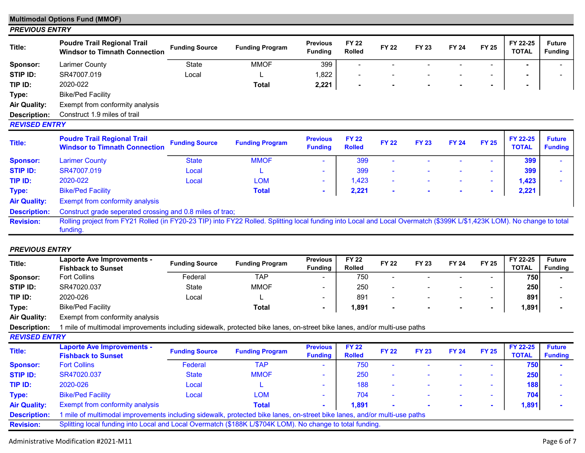|                       | <b>Multimodal Options Fund (MMOF)</b>                                                                                                                                              |                       |                        |                                   |                               |              |              |              |                |                          |                                 |
|-----------------------|------------------------------------------------------------------------------------------------------------------------------------------------------------------------------------|-----------------------|------------------------|-----------------------------------|-------------------------------|--------------|--------------|--------------|----------------|--------------------------|---------------------------------|
| <b>PREVIOUS ENTRY</b> |                                                                                                                                                                                    |                       |                        |                                   |                               |              |              |              |                |                          |                                 |
| Title:                | <b>Poudre Trail Regional Trail</b><br><b>Windsor to Timnath Connection</b>                                                                                                         | <b>Funding Source</b> | <b>Funding Program</b> | <b>Previous</b><br><b>Funding</b> | <b>FY 22</b><br>Rolled        | <b>FY 22</b> | FY 23        | <b>FY 24</b> | <b>FY 25</b>   | FY 22-25<br><b>TOTAL</b> | <b>Future</b><br><b>Funding</b> |
| Sponsor:              | Larimer County                                                                                                                                                                     | State                 | <b>MMOF</b>            | 399                               |                               |              |              |              | $\blacksquare$ |                          |                                 |
| STIP ID:              | SR47007.019                                                                                                                                                                        | Local                 |                        | 1,822                             |                               |              |              |              | $\sim$         |                          |                                 |
| TIP ID:               | 2020-022                                                                                                                                                                           |                       | <b>Total</b>           | 2,221                             |                               |              |              |              | $\blacksquare$ |                          |                                 |
| Type:                 | <b>Bike/Ped Facility</b>                                                                                                                                                           |                       |                        |                                   |                               |              |              |              |                |                          |                                 |
| <b>Air Quality:</b>   | Exempt from conformity analysis                                                                                                                                                    |                       |                        |                                   |                               |              |              |              |                |                          |                                 |
| Description:          | Construct 1.9 miles of trail                                                                                                                                                       |                       |                        |                                   |                               |              |              |              |                |                          |                                 |
| <b>REVISED ENTRY</b>  |                                                                                                                                                                                    |                       |                        |                                   |                               |              |              |              |                |                          |                                 |
| Title:                | <b>Poudre Trail Regional Trail</b><br><b>Windsor to Timnath Connection</b>                                                                                                         | <b>Funding Source</b> | <b>Funding Program</b> | <b>Previous</b><br><b>Funding</b> | <b>FY 22</b><br><b>Rolled</b> | <b>FY 22</b> | <b>FY 23</b> | <b>FY 24</b> | <b>FY 25</b>   | FY 22-25<br><b>TOTAL</b> | <b>Future</b><br><b>Funding</b> |
| <b>Sponsor:</b>       | <b>Larimer County</b>                                                                                                                                                              | <b>State</b>          | <b>MMOF</b>            |                                   | 399                           |              |              |              | ٠              | 399                      |                                 |
| <b>STIP ID:</b>       | SR47007.019                                                                                                                                                                        | Local                 |                        | $\sim$                            | 399                           |              |              |              | ٠              | 399                      |                                 |
| TIP ID:               | 2020-022                                                                                                                                                                           | Local                 | <b>LOM</b>             | $\sim$                            | 1,423                         |              |              | $\sim$       | $\sim$         | 1,423                    |                                 |
| Type:                 | <b>Bike/Ped Facility</b>                                                                                                                                                           |                       | <b>Total</b>           |                                   | 2,221                         |              |              |              | $\blacksquare$ | 2,221                    |                                 |
| <b>Air Quality:</b>   | Exempt from conformity analysis                                                                                                                                                    |                       |                        |                                   |                               |              |              |              |                |                          |                                 |
| <b>Description:</b>   | Construct grade seperated crossing and 0.8 miles of trao;                                                                                                                          |                       |                        |                                   |                               |              |              |              |                |                          |                                 |
| <b>Revision:</b>      | Rolling project from FY21 Rolled (in FY20-23 TIP) into FY22 Rolled. Splitting local funding into Local and Local Overmatch (\$399K L/\$1,423K LOM). No change to total<br>funding. |                       |                        |                                   |                               |              |              |              |                |                          |                                 |

### PREVIOUS ENTRY

| Title:               | <b>Laporte Ave Improvements -</b><br><b>Fishback to Sunset</b>                                                           | <b>Funding Source</b> | <b>Funding Program</b> | <b>Previous</b><br><b>Funding</b> | <b>FY 22</b><br><b>Rolled</b> | <b>FY 22</b>             | <b>FY 23</b> | <b>FY 24</b> | <b>FY 25</b> | FY 22-25<br><b>TOTAL</b> | <b>Future</b><br><b>Funding</b> |
|----------------------|--------------------------------------------------------------------------------------------------------------------------|-----------------------|------------------------|-----------------------------------|-------------------------------|--------------------------|--------------|--------------|--------------|--------------------------|---------------------------------|
| Sponsor:             | <b>Fort Collins</b>                                                                                                      | Federal               | <b>TAP</b>             |                                   | 750                           |                          |              |              |              | 750                      |                                 |
| STIP ID:             | SR47020.037                                                                                                              | <b>State</b>          | <b>MMOF</b>            |                                   | 250                           |                          |              |              |              | 250                      |                                 |
| TIP ID:              | 2020-026                                                                                                                 | Local                 |                        | $\overline{\phantom{a}}$          | 891                           |                          |              |              |              | 891                      |                                 |
| Type:                | <b>Bike/Ped Facility</b>                                                                                                 |                       | Total                  | $\sim$                            | 1,891                         | $\overline{\phantom{0}}$ |              |              |              | 1,891                    |                                 |
| <b>Air Quality:</b>  | Exempt from conformity analysis                                                                                          |                       |                        |                                   |                               |                          |              |              |              |                          |                                 |
| <b>Description:</b>  | 1 mile of multimodal improvements including sidewalk, protected bike lanes, on-street bike lanes, and/or multi-use paths |                       |                        |                                   |                               |                          |              |              |              |                          |                                 |
| <b>REVISED ENTRY</b> |                                                                                                                          |                       |                        |                                   |                               |                          |              |              |              |                          |                                 |
|                      |                                                                                                                          |                       |                        |                                   |                               |                          |              |              |              |                          |                                 |
| Title:               | <b>Laporte Ave Improvements -</b><br><b>Fishback to Sunset</b>                                                           | <b>Funding Source</b> | <b>Funding Program</b> | <b>Previous</b><br><b>Funding</b> | <b>FY 22</b><br><b>Rolled</b> | <b>FY 22</b>             | <b>FY 23</b> | <b>FY 24</b> | <b>FY 25</b> | FY 22-25<br><b>TOTAL</b> | <b>Future</b><br><b>Funding</b> |
| <b>Sponsor:</b>      | <b>Fort Collins</b>                                                                                                      | Federal               | <b>TAP</b>             |                                   | 750                           |                          |              |              |              | 750                      |                                 |
| <b>STIP ID:</b>      | SR47020.037                                                                                                              | <b>State</b>          | <b>MMOF</b>            | $\sim$                            | 250                           |                          |              |              |              | 250                      |                                 |
| TIP ID:              | 2020-026                                                                                                                 | Local                 |                        | $\sim$                            | 188                           |                          |              |              |              | 188                      |                                 |
| Type:                | <b>Bike/Ped Facility</b>                                                                                                 | Local                 | <b>LOM</b>             |                                   | 704                           |                          |              |              |              | 704                      |                                 |
| <b>Air Quality:</b>  | Exempt from conformity analysis                                                                                          |                       | <b>Total</b>           | $\sim$                            | 1,891                         |                          |              |              |              | 1,891                    |                                 |
| <b>Description:</b>  | 1 mile of multimodal improvements including sidewalk, protected bike lanes, on-street bike lanes, and/or multi-use paths |                       |                        |                                   |                               |                          |              |              |              |                          |                                 |